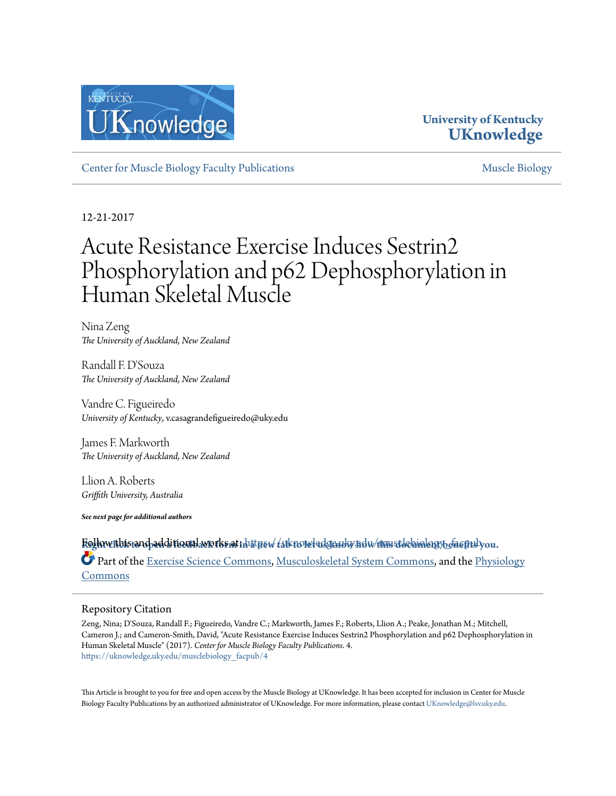

### **University of Kentucky [UKnowledge](https://uknowledge.uky.edu?utm_source=uknowledge.uky.edu%2Fmusclebiology_facpub%2F4&utm_medium=PDF&utm_campaign=PDFCoverPages)**

[Center for Muscle Biology Faculty Publications](https://uknowledge.uky.edu/musclebiology_facpub?utm_source=uknowledge.uky.edu%2Fmusclebiology_facpub%2F4&utm_medium=PDF&utm_campaign=PDFCoverPages) and the [Muscle Biology](https://uknowledge.uky.edu/musclebiology?utm_source=uknowledge.uky.edu%2Fmusclebiology_facpub%2F4&utm_medium=PDF&utm_campaign=PDFCoverPages) of Muscle Biology

12-21-2017

# Acute Resistance Exercise Induces Sestrin2 Phosphorylation and p62 Dephosphorylation in Human Skeletal Muscle

Nina Zeng *The University of Auckland, New Zealand*

Randall F. D'Souza *The University of Auckland, New Zealand*

Vandre C. Figueiredo *University of Kentucky*, v.casagrandefigueiredo@uky.edu

James F. Markworth *The University of Auckland, New Zealand*

Llion A. Roberts *Griffith University, Australia*

*See next page for additional authors*

**R**Fo**[ight click to open a feedback form in a new tab to let us know how this document benefits you.](https://uky.az1.qualtrics.com/jfe/form/SV_9mq8fx2GnONRfz7)** llow this and additional works at: [https://uknowledge.uky.edu/musclebiology\\_facpub](https://uknowledge.uky.edu/musclebiology_facpub?utm_source=uknowledge.uky.edu%2Fmusclebiology_facpub%2F4&utm_medium=PDF&utm_campaign=PDFCoverPages) Part of the [Exercise Science Commons,](http://network.bepress.com/hgg/discipline/1091?utm_source=uknowledge.uky.edu%2Fmusclebiology_facpub%2F4&utm_medium=PDF&utm_campaign=PDFCoverPages) [Musculoskeletal System Commons,](http://network.bepress.com/hgg/discipline/938?utm_source=uknowledge.uky.edu%2Fmusclebiology_facpub%2F4&utm_medium=PDF&utm_campaign=PDFCoverPages) and the [Physiology](http://network.bepress.com/hgg/discipline/69?utm_source=uknowledge.uky.edu%2Fmusclebiology_facpub%2F4&utm_medium=PDF&utm_campaign=PDFCoverPages) [Commons](http://network.bepress.com/hgg/discipline/69?utm_source=uknowledge.uky.edu%2Fmusclebiology_facpub%2F4&utm_medium=PDF&utm_campaign=PDFCoverPages)

#### Repository Citation

Zeng, Nina; D'Souza, Randall F.; Figueiredo, Vandre C.; Markworth, James F.; Roberts, Llion A.; Peake, Jonathan M.; Mitchell, Cameron J.; and Cameron-Smith, David, "Acute Resistance Exercise Induces Sestrin2 Phosphorylation and p62 Dephosphorylation in Human Skeletal Muscle" (2017). *Center for Muscle Biology Faculty Publications*. 4. [https://uknowledge.uky.edu/musclebiology\\_facpub/4](https://uknowledge.uky.edu/musclebiology_facpub/4?utm_source=uknowledge.uky.edu%2Fmusclebiology_facpub%2F4&utm_medium=PDF&utm_campaign=PDFCoverPages)

This Article is brought to you for free and open access by the Muscle Biology at UKnowledge. It has been accepted for inclusion in Center for Muscle Biology Faculty Publications by an authorized administrator of UKnowledge. For more information, please contact [UKnowledge@lsv.uky.edu](mailto:UKnowledge@lsv.uky.edu).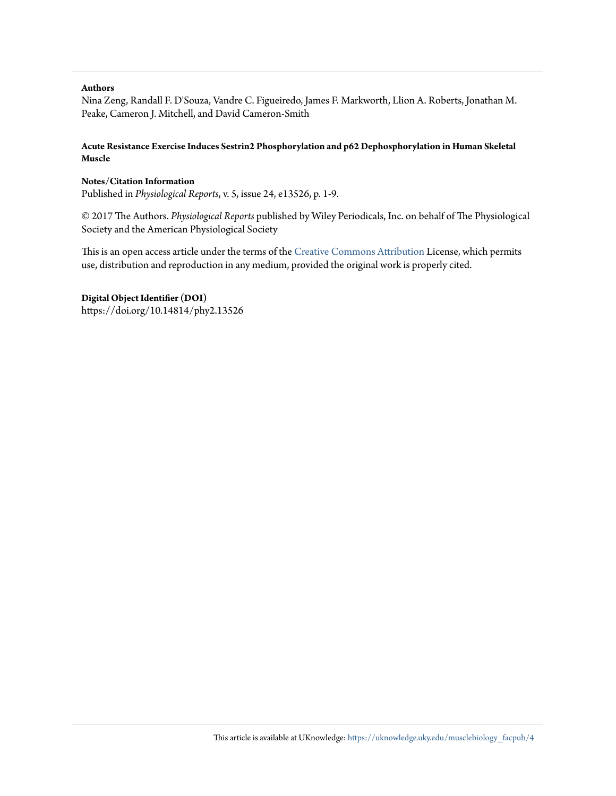#### **Authors**

Nina Zeng, Randall F. D'Souza, Vandre C. Figueiredo, James F. Markworth, Llion A. Roberts, Jonathan M. Peake, Cameron J. Mitchell, and David Cameron-Smith

#### **Acute Resistance Exercise Induces Sestrin2 Phosphorylation and p62 Dephosphorylation in Human Skeletal Muscle**

#### **Notes/Citation Information**

Published in *Physiological Reports*, v. 5, issue 24, e13526, p. 1-9.

© 2017 The Authors. *Physiological Reports* published by Wiley Periodicals, Inc. on behalf of The Physiological Society and the American Physiological Society

This is an open access article under the terms of the [Creative Commons Attribution](https://creativecommons.org/licenses/by/4.0/) License, which permits use, distribution and reproduction in any medium, provided the original work is properly cited.

#### **Digital Object Identifier (DOI)**

https://doi.org/10.14814/phy2.13526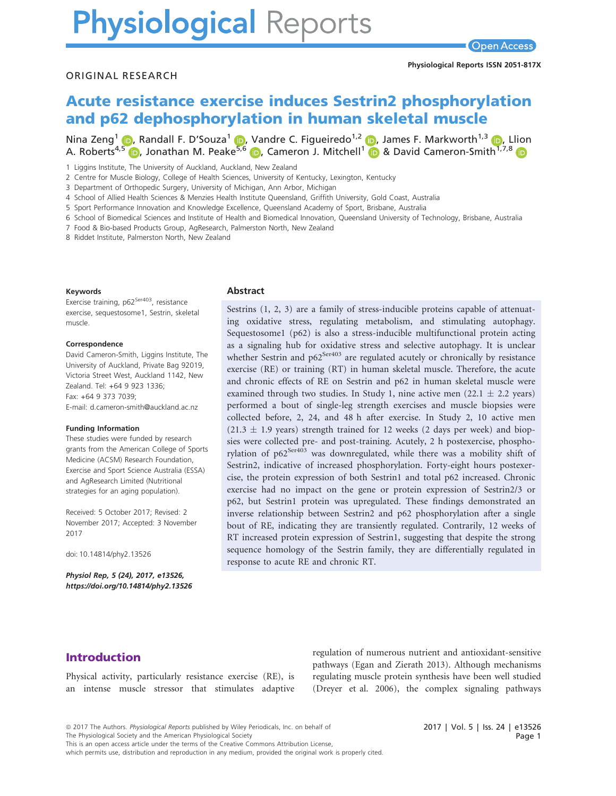# **Physiological Reports**

#### ORIGINAL RESEARCH

## Acute resistance exercise induces Sestrin2 phosphorylation and p62 dephosphorylation in human skeletal muscle

Nina Zeng<sup>1</sup> **D**, Randall F. D'Souza<sup>1</sup> D, Vandre C. Figueiredo<sup>1,2</sup> D, James F. Markworth<sup>1,[3](https://orcid.org/0000-0002-5348-1464)</sup> D, Llion A. Roberts<sup>[4,5](https://orcid.org/0000-0001-5240-8321)</sup> **D**, Jonathan M. Peake<sup>[5,](https://orcid.org/0000-0002-4467-1709)[6](https://orcid.org/0000-0002-8218-0038)</sup> **D**, Cameron J. Mitchell<sup>[1](https://orcid.org/0000-0002-5348-1464)</sup> **D** & David Cameron-Smith<sup>1,7,8</sup> D

1 Liggins Institute, The University of Auckland, Auckland, New Zealand

2 Centre for Muscle Biology, College of Health Sciences, University of Kentucky, Lexington, Kentucky

3 Department of Orthopedic Surgery, University of Michigan, Ann Arbor, Michigan

4 School of Allied Health Sciences & Menzies Health Institute Queensland, Griffith University, Gold Coast, Australia

5 Sport Performance Innovation and Knowledge Excellence, Queensland Academy of Sport, Brisbane, Australia

6 School of Biomedical Sciences and Institute of Health and Biomedical Innovation, Queensland University of Technology, Brisbane, Australia

7 Food & Bio-based Products Group, AgResearch, Palmerston North, New Zealand

8 Riddet Institute, Palmerston North, New Zealand

#### Keywords

Exercise training, p62<sup>Ser403</sup>, resistance exercise, sequestosome1, Sestrin, skeletal muscle.

#### Correspondence

David Cameron-Smith, Liggins Institute, The University of Auckland, Private Bag 92019, Victoria Street West, Auckland 1142, New Zealand. Tel: +64 9 923 1336; Fax: +64 9 373 7039; E-mail: d.cameron-smith@auckland.ac.nz

#### Funding Information

These studies were funded by research grants from the American College of Sports Medicine (ACSM) Research Foundation, Exercise and Sport Science Australia (ESSA) and AgResearch Limited (Nutritional strategies for an aging population).

Received: 5 October 2017; Revised: 2 November 2017; Accepted: 3 November 2017

doi: 10.14814/phy2.13526

Physiol Rep, 5 (24), 2017, e13526, <https://doi.org/10.14814/phy2.13526>

#### Abstract

Sestrins (1, 2, 3) are a family of stress-inducible proteins capable of attenuating oxidative stress, regulating metabolism, and stimulating autophagy. Sequestosome1 (p62) is also a stress-inducible multifunctional protein acting as a signaling hub for oxidative stress and selective autophagy. It is unclear whether Sestrin and  $p62^{Ser403}$  are regulated acutely or chronically by resistance exercise (RE) or training (RT) in human skeletal muscle. Therefore, the acute and chronic effects of RE on Sestrin and p62 in human skeletal muscle were examined through two studies. In Study 1, nine active men  $(22.1 \pm 2.2 \text{ years})$ performed a bout of single-leg strength exercises and muscle biopsies were collected before, 2, 24, and 48 h after exercise. In Study 2, 10 active men  $(21.3 \pm 1.9 \text{ years})$  strength trained for 12 weeks (2 days per week) and biopsies were collected pre- and post-training. Acutely, 2 h postexercise, phosphorylation of  $p62^{Ser403}$  was downregulated, while there was a mobility shift of Sestrin2, indicative of increased phosphorylation. Forty-eight hours postexercise, the protein expression of both Sestrin1 and total p62 increased. Chronic exercise had no impact on the gene or protein expression of Sestrin2/3 or p62, but Sestrin1 protein was upregulated. These findings demonstrated an inverse relationship between Sestrin2 and p62 phosphorylation after a single bout of RE, indicating they are transiently regulated. Contrarily, 12 weeks of RT increased protein expression of Sestrin1, suggesting that despite the strong sequence homology of the Sestrin family, they are differentially regulated in response to acute RE and chronic RT.

#### Introduction

Physical activity, particularly resistance exercise (RE), is an intense muscle stressor that stimulates adaptive regulation of numerous nutrient and antioxidant-sensitive pathways (Egan and Zierath 2013). Although mechanisms regulating muscle protein synthesis have been well studied (Dreyer et al. 2006), the complex signaling pathways

This is an open access article under the terms of the [Creative Commons Attribution](http://creativecommons.org/licenses/by/4.0/) License,

which permits use, distribution and reproduction in any medium, provided the original work is properly cited.

<sup>ª</sup> 2017 The Authors. Physiological Reports published by Wiley Periodicals, Inc. on behalf of

The Physiological Society and the American Physiological Society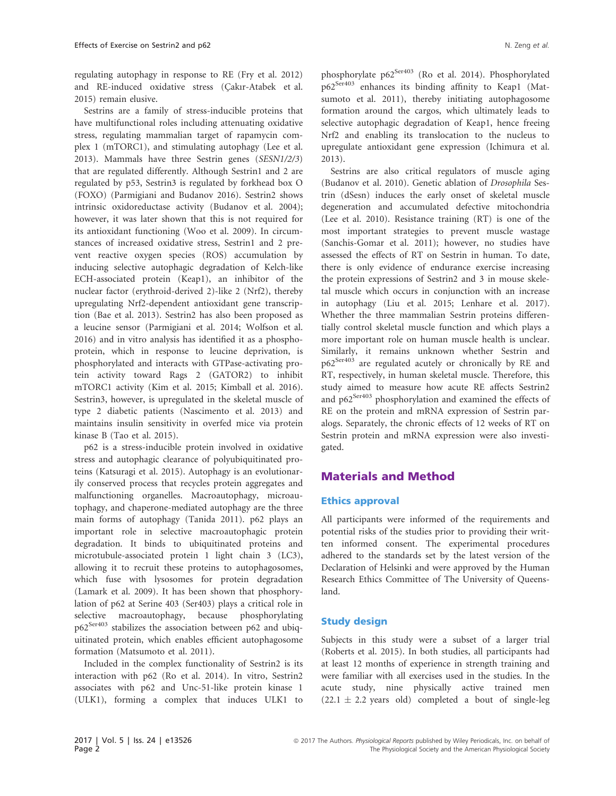regulating autophagy in response to RE (Fry et al. 2012) and RE-induced oxidative stress (Cakır-Atabek et al. 2015) remain elusive.

Sestrins are a family of stress-inducible proteins that have multifunctional roles including attenuating oxidative stress, regulating mammalian target of rapamycin complex 1 (mTORC1), and stimulating autophagy (Lee et al. 2013). Mammals have three Sestrin genes (SESN1/2/3) that are regulated differently. Although Sestrin1 and 2 are regulated by p53, Sestrin3 is regulated by forkhead box O (FOXO) (Parmigiani and Budanov 2016). Sestrin2 shows intrinsic oxidoreductase activity (Budanov et al. 2004); however, it was later shown that this is not required for its antioxidant functioning (Woo et al. 2009). In circumstances of increased oxidative stress, Sestrin1 and 2 prevent reactive oxygen species (ROS) accumulation by inducing selective autophagic degradation of Kelch-like ECH-associated protein (Keap1), an inhibitor of the nuclear factor (erythroid-derived 2)-like 2 (Nrf2), thereby upregulating Nrf2-dependent antioxidant gene transcription (Bae et al. 2013). Sestrin2 has also been proposed as a leucine sensor (Parmigiani et al. 2014; Wolfson et al. 2016) and in vitro analysis has identified it as a phosphoprotein, which in response to leucine deprivation, is phosphorylated and interacts with GTPase-activating protein activity toward Rags 2 (GATOR2) to inhibit mTORC1 activity (Kim et al. 2015; Kimball et al. 2016). Sestrin3, however, is upregulated in the skeletal muscle of type 2 diabetic patients (Nascimento et al. 2013) and maintains insulin sensitivity in overfed mice via protein kinase B (Tao et al. 2015).

p62 is a stress-inducible protein involved in oxidative stress and autophagic clearance of polyubiquitinated proteins (Katsuragi et al. 2015). Autophagy is an evolutionarily conserved process that recycles protein aggregates and malfunctioning organelles. Macroautophagy, microautophagy, and chaperone-mediated autophagy are the three main forms of autophagy (Tanida 2011). p62 plays an important role in selective macroautophagic protein degradation. It binds to ubiquitinated proteins and microtubule-associated protein 1 light chain 3 (LC3), allowing it to recruit these proteins to autophagosomes, which fuse with lysosomes for protein degradation (Lamark et al. 2009). It has been shown that phosphorylation of p62 at Serine 403 (Ser403) plays a critical role in selective macroautophagy, because phosphorylating  $p62^{Ser403}$  stabilizes the association between p62 and ubiquitinated protein, which enables efficient autophagosome formation (Matsumoto et al. 2011).

Included in the complex functionality of Sestrin2 is its interaction with p62 (Ro et al. 2014). In vitro, Sestrin2 associates with p62 and Unc-51-like protein kinase 1 (ULK1), forming a complex that induces ULK1 to phosphorylate  $p62^{Ser403}$  (Ro et al. 2014). Phosphorylated p62Ser403 enhances its binding affinity to Keap1 (Matsumoto et al. 2011), thereby initiating autophagosome formation around the cargos, which ultimately leads to selective autophagic degradation of Keap1, hence freeing Nrf2 and enabling its translocation to the nucleus to upregulate antioxidant gene expression (Ichimura et al. 2013).

Sestrins are also critical regulators of muscle aging (Budanov et al. 2010). Genetic ablation of Drosophila Sestrin (dSesn) induces the early onset of skeletal muscle degeneration and accumulated defective mitochondria (Lee et al. 2010). Resistance training (RT) is one of the most important strategies to prevent muscle wastage (Sanchis-Gomar et al. 2011); however, no studies have assessed the effects of RT on Sestrin in human. To date, there is only evidence of endurance exercise increasing the protein expressions of Sestrin2 and 3 in mouse skeletal muscle which occurs in conjunction with an increase in autophagy (Liu et al. 2015; Lenhare et al. 2017). Whether the three mammalian Sestrin proteins differentially control skeletal muscle function and which plays a more important role on human muscle health is unclear. Similarly, it remains unknown whether Sestrin and p62<sup>Ser403</sup> are regulated acutely or chronically by RE and RT, respectively, in human skeletal muscle. Therefore, this study aimed to measure how acute RE affects Sestrin2 and p62<sup>Ser403</sup> phosphorylation and examined the effects of RE on the protein and mRNA expression of Sestrin paralogs. Separately, the chronic effects of 12 weeks of RT on Sestrin protein and mRNA expression were also investigated.

#### Materials and Method

#### Ethics approval

All participants were informed of the requirements and potential risks of the studies prior to providing their written informed consent. The experimental procedures adhered to the standards set by the latest version of the Declaration of Helsinki and were approved by the Human Research Ethics Committee of The University of Queensland.

#### Study design

Subjects in this study were a subset of a larger trial (Roberts et al. 2015). In both studies, all participants had at least 12 months of experience in strength training and were familiar with all exercises used in the studies. In the acute study, nine physically active trained men  $(22.1 \pm 2.2 \text{ years}$  old) completed a bout of single-leg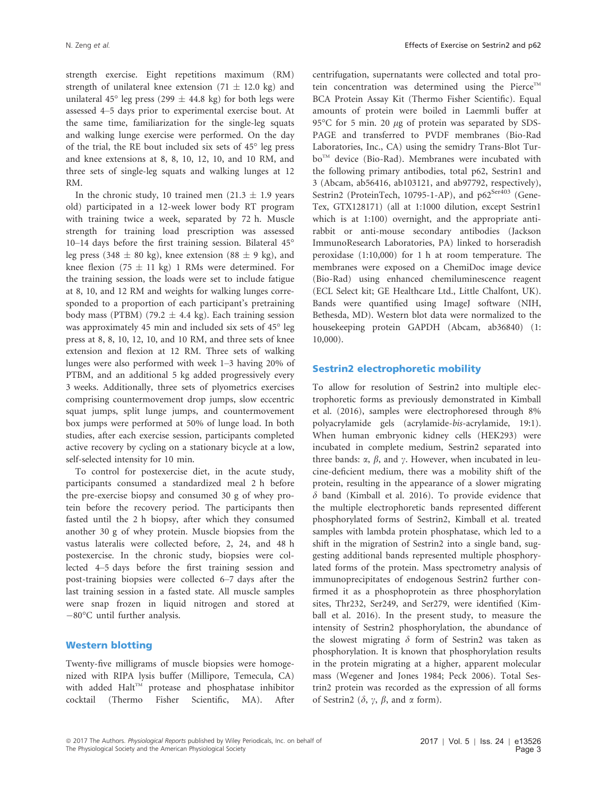strength exercise. Eight repetitions maximum (RM) strength of unilateral knee extension (71  $\pm$  12.0 kg) and unilateral 45° leg press (299  $\pm$  44.8 kg) for both legs were assessed 4–5 days prior to experimental exercise bout. At the same time, familiarization for the single-leg squats and walking lunge exercise were performed. On the day of the trial, the RE bout included six sets of 45° leg press and knee extensions at 8, 8, 10, 12, 10, and 10 RM, and three sets of single-leg squats and walking lunges at 12 RM.

In the chronic study, 10 trained men  $(21.3 \pm 1.9 \text{ years})$ old) participated in a 12-week lower body RT program with training twice a week, separated by 72 h. Muscle strength for training load prescription was assessed 10–14 days before the first training session. Bilateral 45° leg press (348  $\pm$  80 kg), knee extension (88  $\pm$  9 kg), and knee flexion (75  $\pm$  11 kg) 1 RMs were determined. For the training session, the loads were set to include fatigue at 8, 10, and 12 RM and weights for walking lunges corresponded to a proportion of each participant's pretraining body mass (PTBM) (79.2  $\pm$  4.4 kg). Each training session was approximately 45 min and included six sets of 45° leg press at 8, 8, 10, 12, 10, and 10 RM, and three sets of knee extension and flexion at 12 RM. Three sets of walking lunges were also performed with week 1–3 having 20% of PTBM, and an additional 5 kg added progressively every 3 weeks. Additionally, three sets of plyometrics exercises comprising countermovement drop jumps, slow eccentric squat jumps, split lunge jumps, and countermovement box jumps were performed at 50% of lunge load. In both studies, after each exercise session, participants completed active recovery by cycling on a stationary bicycle at a low, self-selected intensity for 10 min.

To control for postexercise diet, in the acute study, participants consumed a standardized meal 2 h before the pre-exercise biopsy and consumed 30 g of whey protein before the recovery period. The participants then fasted until the 2 h biopsy, after which they consumed another 30 g of whey protein. Muscle biopsies from the vastus lateralis were collected before, 2, 24, and 48 h postexercise. In the chronic study, biopsies were collected 4–5 days before the first training session and post-training biopsies were collected 6–7 days after the last training session in a fasted state. All muscle samples were snap frozen in liquid nitrogen and stored at 80°C until further analysis.

#### Western blotting

Twenty-five milligrams of muscle biopsies were homogenized with RIPA lysis buffer (Millipore, Temecula, CA) with added Halt<sup>™</sup> protease and phosphatase inhibitor cocktail (Thermo Fisher Scientific, MA). After centrifugation, supernatants were collected and total protein concentration was determined using the Pierce<sup>TM</sup> BCA Protein Assay Kit (Thermo Fisher Scientific). Equal amounts of protein were boiled in Laemmli buffer at 95 $\degree$ C for 5 min. 20  $\mu$ g of protein was separated by SDS-PAGE and transferred to PVDF membranes (Bio-Rad Laboratories, Inc., CA) using the semidry Trans-Blot Turbo<sup>TM</sup> device (Bio-Rad). Membranes were incubated with the following primary antibodies, total p62, Sestrin1 and 3 (Abcam, ab56416, ab103121, and ab97792, respectively), Sestrin2 (ProteinTech, 10795-1-AP), and p62<sup>Ser403</sup> (Gene-Tex, GTX128171) (all at 1:1000 dilution, except Sestrin1 which is at 1:100) overnight, and the appropriate antirabbit or anti-mouse secondary antibodies (Jackson ImmunoResearch Laboratories, PA) linked to horseradish peroxidase (1:10,000) for 1 h at room temperature. The membranes were exposed on a ChemiDoc image device (Bio-Rad) using enhanced chemiluminescence reagent (ECL Select kit; GE Healthcare Ltd., Little Chalfont, UK). Bands were quantified using ImageJ software (NIH, Bethesda, MD). Western blot data were normalized to the housekeeping protein GAPDH (Abcam, ab36840) (1: 10,000).

#### Sestrin2 electrophoretic mobility

To allow for resolution of Sestrin2 into multiple electrophoretic forms as previously demonstrated in Kimball et al. (2016), samples were electrophoresed through 8% polyacrylamide gels (acrylamide-bis-acrylamide, 19:1). When human embryonic kidney cells (HEK293) were incubated in complete medium, Sestrin2 separated into three bands:  $\alpha$ ,  $\beta$ , and  $\gamma$ . However, when incubated in leucine-deficient medium, there was a mobility shift of the protein, resulting in the appearance of a slower migrating  $\delta$  band (Kimball et al. 2016). To provide evidence that the multiple electrophoretic bands represented different phosphorylated forms of Sestrin2, Kimball et al. treated samples with lambda protein phosphatase, which led to a shift in the migration of Sestrin2 into a single band, suggesting additional bands represented multiple phosphorylated forms of the protein. Mass spectrometry analysis of immunoprecipitates of endogenous Sestrin2 further confirmed it as a phosphoprotein as three phosphorylation sites, Thr232, Ser249, and Ser279, were identified (Kimball et al. 2016). In the present study, to measure the intensity of Sestrin2 phosphorylation, the abundance of the slowest migrating  $\delta$  form of Sestrin2 was taken as phosphorylation. It is known that phosphorylation results in the protein migrating at a higher, apparent molecular mass (Wegener and Jones 1984; Peck 2006). Total Sestrin2 protein was recorded as the expression of all forms of Sestrin2 ( $\delta$ ,  $\gamma$ ,  $\beta$ , and  $\alpha$  form).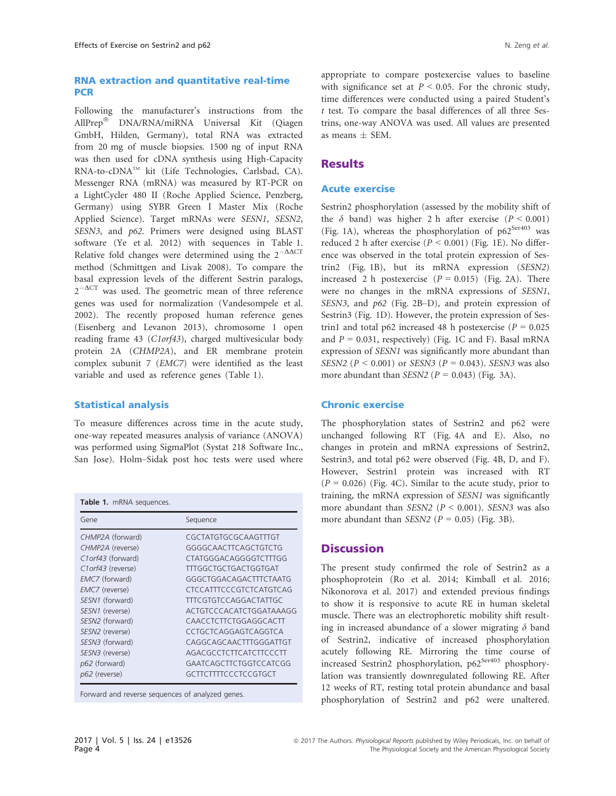#### RNA extraction and quantitative real-time **PCR**

Following the manufacturer's instructions from the AllPrep® DNA/RNA/miRNA Universal Kit (Qiagen GmbH, Hilden, Germany), total RNA was extracted from 20 mg of muscle biopsies. 1500 ng of input RNA was then used for cDNA synthesis using High-Capacity RNA-to-cDNATM kit (Life Technologies, Carlsbad, CA). Messenger RNA (mRNA) was measured by RT-PCR on a LightCycler 480 II (Roche Applied Science, Penzberg, Germany) using SYBR Green I Master Mix (Roche Applied Science). Target mRNAs were SESN1, SESN2, SESN3, and p62. Primers were designed using BLAST software (Ye et al. 2012) with sequences in Table 1. Relative fold changes were determined using the  $2^{-\Delta\Delta CT}$ method (Schmittgen and Livak 2008). To compare the basal expression levels of the different Sestrin paralogs,  $2^{-\Delta CT}$  was used. The geometric mean of three reference genes was used for normalization (Vandesompele et al. 2002). The recently proposed human reference genes (Eisenberg and Levanon 2013), chromosome 1 open reading frame 43 (C1orf43), charged multivesicular body protein 2A (CHMP2A), and ER membrane protein complex subunit 7 (EMC7) were identified as the least variable and used as reference genes (Table 1).

#### Statistical analysis

To measure differences across time in the acute study, one-way repeated measures analysis of variance (ANOVA) was performed using SigmaPlot (Systat 218 Software Inc., San Jose). Holm–Sidak post hoc tests were used where

| <b>Table 1.</b> mRNA sequences.                                                                                                                                                                                                          |                                                                                                                                                                                                                                                                                                                                                            |
|------------------------------------------------------------------------------------------------------------------------------------------------------------------------------------------------------------------------------------------|------------------------------------------------------------------------------------------------------------------------------------------------------------------------------------------------------------------------------------------------------------------------------------------------------------------------------------------------------------|
| Gene                                                                                                                                                                                                                                     | Sequence                                                                                                                                                                                                                                                                                                                                                   |
| CHMP2A (forward)<br>CHMP2A (reverse)<br>C1 or f43 (forward)<br>C1 or f43 (reverse)<br>EMC7 (forward)<br>EMC7 (reverse)<br>SESN1 (forward)<br>SESN1 (reverse)<br>SESN2 (forward)<br>SESN2 (reverse)<br>SESN3 (forward)<br>SESN3 (reverse) | CGCTATGTGCGCAAGTTTGT<br>GGGGCAACTTCAGCTGTCTG<br>CTATGGGACAGGGGTCTTTGG<br><b>TTTGGCTGCTGACTGGTGAT</b><br>GGGCTGGACAGACTTTCTAATG<br><b>CTCCATTTCCCGTCTCATGTCAG</b><br><b>TTTCGTGTCCAGGACTATTGC</b><br>ACTGTCCCACATCTGGATAAAGG<br>CAACCTCTTCTGGAGGCACTT<br>CCTGCTCAGGAGTCAGGTCA<br>CAGGCAGCAACTTTGGGATTGT<br>AGACGCCTCTTCATCTTCCCTT<br>GAATCAGCTTCTGGTCCATCGG |
| p62 (forward)<br>p62 (reverse)                                                                                                                                                                                                           | GCTTCTTTTCCCTCCGTGCT                                                                                                                                                                                                                                                                                                                                       |

Forward and reverse sequences of analyzed genes.

appropriate to compare postexercise values to baseline with significance set at  $P < 0.05$ . For the chronic study, time differences were conducted using a paired Student's t test. To compare the basal differences of all three Sestrins, one-way ANOVA was used. All values are presented as means  $\pm$  SEM.

#### **Results**

#### Acute exercise

Sestrin2 phosphorylation (assessed by the mobility shift of the  $\delta$  band) was higher 2 h after exercise ( $P < 0.001$ ) (Fig. 1A), whereas the phosphorylation of  $p62^{Ser403}$  was reduced 2 h after exercise ( $P < 0.001$ ) (Fig. 1E). No difference was observed in the total protein expression of Sestrin2 (Fig. 1B), but its mRNA expression (SESN2) increased 2 h postexercise  $(P = 0.015)$  (Fig. 2A). There were no changes in the mRNA expressions of SESN1, SESN3, and p62 (Fig. 2B–D), and protein expression of Sestrin3 (Fig. 1D). However, the protein expression of Sestrin1 and total p62 increased 48 h postexercise ( $P = 0.025$ ) and  $P = 0.031$ , respectively) (Fig. 1C and F). Basal mRNA expression of SESN1 was significantly more abundant than SESN2 ( $P < 0.001$ ) or SESN3 ( $P = 0.043$ ). SESN3 was also more abundant than SESN2 ( $P = 0.043$ ) (Fig. 3A).

#### Chronic exercise

The phosphorylation states of Sestrin2 and p62 were unchanged following RT (Fig. 4A and E). Also, no changes in protein and mRNA expressions of Sestrin2, Sestrin3, and total p62 were observed (Fig. 4B, D, and F). However, Sestrin1 protein was increased with RT  $(P = 0.026)$  (Fig. 4C). Similar to the acute study, prior to training, the mRNA expression of SESN1 was significantly more abundant than SESN2 ( $P < 0.001$ ). SESN3 was also more abundant than SESN2 ( $P = 0.05$ ) (Fig. 3B).

#### **Discussion**

The present study confirmed the role of Sestrin2 as a phosphoprotein (Ro et al. 2014; Kimball et al. 2016; Nikonorova et al. 2017) and extended previous findings to show it is responsive to acute RE in human skeletal muscle. There was an electrophoretic mobility shift resulting in increased abundance of a slower migrating  $\delta$  band of Sestrin2, indicative of increased phosphorylation acutely following RE. Mirroring the time course of increased Sestrin2 phosphorylation, p62<sup>Ser403</sup> phosphorylation was transiently downregulated following RE. After 12 weeks of RT, resting total protein abundance and basal phosphorylation of Sestrin2 and p62 were unaltered.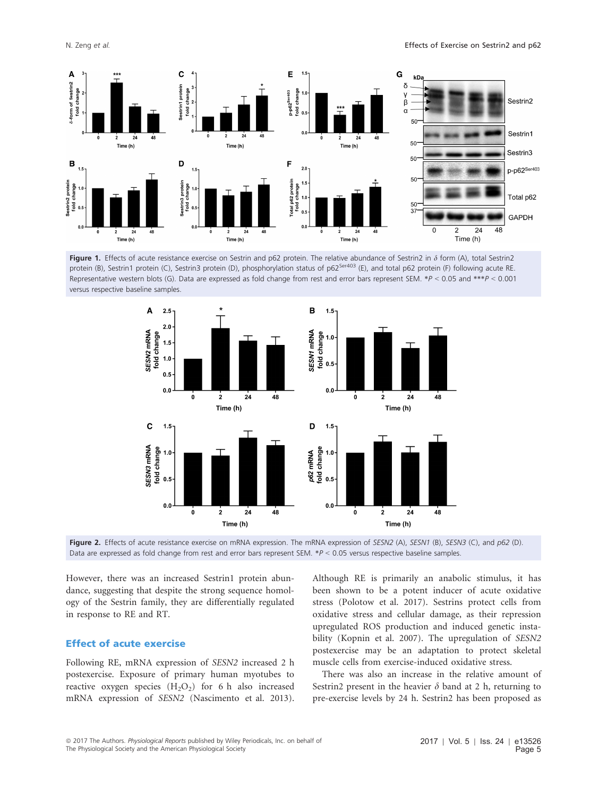

Figure 1. Effects of acute resistance exercise on Sestrin and p62 protein. The relative abundance of Sestrin2 in  $\delta$  form (A), total Sestrin2 protein (B), Sestrin1 protein (C), Sestrin3 protein (D), phosphorylation status of p62<sup>Ser403</sup> (E), and total p62 protein (F) following acute RE. Representative western blots (G). Data are expressed as fold change from rest and error bars represent SEM. \*P <sup>&</sup>lt; 0.05 and \*\*\*P <sup>&</sup>lt; 0.001 versus respective baseline samples.



Figure 2. Effects of acute resistance exercise on mRNA expression. The mRNA expression of SESN2 (A), SESN1 (B), SESN3 (C), and p62 (D). Data are expressed as fold change from rest and error bars represent SEM.  $*P < 0.05$  versus respective baseline samples.

However, there was an increased Sestrin1 protein abundance, suggesting that despite the strong sequence homology of the Sestrin family, they are differentially regulated in response to RE and RT.

#### Effect of acute exercise

Following RE, mRNA expression of SESN2 increased 2 h postexercise. Exposure of primary human myotubes to reactive oxygen species  $(H_2O_2)$  for 6 h also increased mRNA expression of SESN2 (Nascimento et al. 2013). Although RE is primarily an anabolic stimulus, it has been shown to be a potent inducer of acute oxidative stress (Polotow et al. 2017). Sestrins protect cells from oxidative stress and cellular damage, as their repression upregulated ROS production and induced genetic instability (Kopnin et al. 2007). The upregulation of SESN2 postexercise may be an adaptation to protect skeletal muscle cells from exercise-induced oxidative stress.

There was also an increase in the relative amount of Sestrin2 present in the heavier  $\delta$  band at 2 h, returning to pre-exercise levels by 24 h. Sestrin2 has been proposed as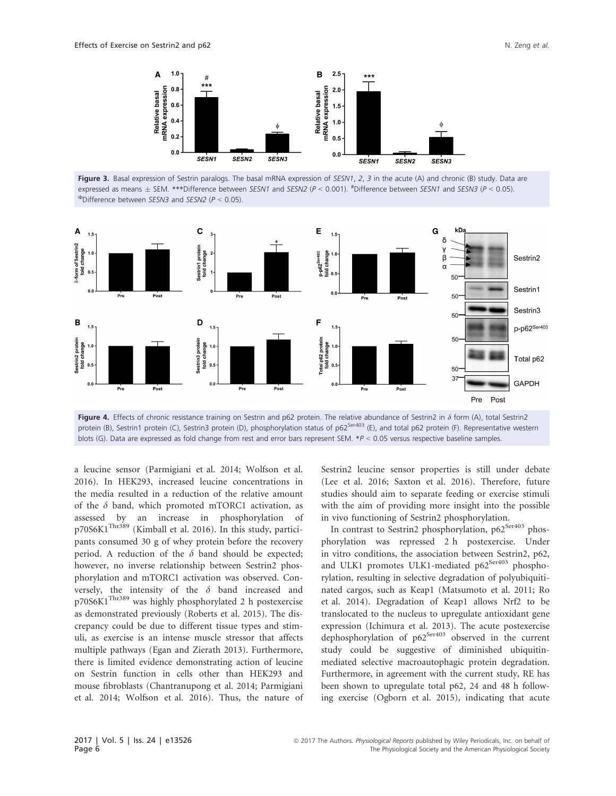

Figure 3. Basal expression of Sestrin paralogs. The basal mRNA expression of SESN1, 2, 3 in the acute (A) and chronic (B) study. Data are expressed as means  $\pm$  SEM. \*\*\*Difference between *SESN1* and *SESN2* (P < 0.001). <sup>#</sup>Difference between *SESN1* and *SESN3* (P < 0.05).<br><sup>Ф</sup>Difference between *SESN3* and *SESN2* (P < 0.05).



Figure 4. Effects of chronic resistance training on Sestrin and p62 protein. The relative abundance of Sestrin2 in  $\delta$  form (A), total Sestrin2 protein (B), Sestrin1 protein (C), Sestrin3 protein (D), phosphorylation status of p62<sup>Ser403</sup> (E), and total p62 protein (F). Representative western blots (G). Data are expressed as fold change from rest and error bars represent SEM. \*P <sup>&</sup>lt; 0.05 versus respective baseline samples.

a leucine sensor (Parmigiani et al. 2014; Wolfson et al. 2016). In HEK293, increased leucine concentrations in the media resulted in a reduction of the relative amount of the  $\delta$  band, which promoted mTORC1 activation, as assessed by an increase in phosphorylation of p70S6K1Thr389 (Kimball et al. 2016). In this study, participants consumed 30 g of whey protein before the recovery period. A reduction of the  $\delta$  band should be expected; however, no inverse relationship between Sestrin2 phosphorylation and mTORC1 activation was observed. Conversely, the intensity of the  $\delta$  band increased and p70S6K1Thr389 was highly phosphorylated 2 h postexercise as demonstrated previously (Roberts et al. 2015). The discrepancy could be due to different tissue types and stimuli, as exercise is an intense muscle stressor that affects multiple pathways (Egan and Zierath 2013). Furthermore, there is limited evidence demonstrating action of leucine on Sestrin function in cells other than HEK293 and mouse fibroblasts (Chantranupong et al. 2014; Parmigiani et al. 2014; Wolfson et al. 2016). Thus, the nature of Sestrin2 leucine sensor properties is still under debate (Lee et al. 2016; Saxton et al. 2016). Therefore, future studies should aim to separate feeding or exercise stimuli with the aim of providing more insight into the possible in vivo functioning of Sestrin2 phosphorylation.

In contrast to Sestrin2 phosphorylation, p62<sup>Ser403</sup> phosphorylation was repressed 2 h postexercise. Under in vitro conditions, the association between Sestrin2, p62, and ULK1 promotes ULK1-mediated p62<sup>Ser403</sup> phosphorylation, resulting in selective degradation of polyubiquitinated cargos, such as Keap1 (Matsumoto et al. 2011; Ro et al. 2014). Degradation of Keap1 allows Nrf2 to be translocated to the nucleus to upregulate antioxidant gene expression (Ichimura et al. 2013). The acute postexercise dephosphorylation of  $p62^{Ser403}$  observed in the current study could be suggestive of diminished ubiquitinmediated selective macroautophagic protein degradation. Furthermore, in agreement with the current study, RE has been shown to upregulate total p62, 24 and 48 h following exercise (Ogborn et al. 2015), indicating that acute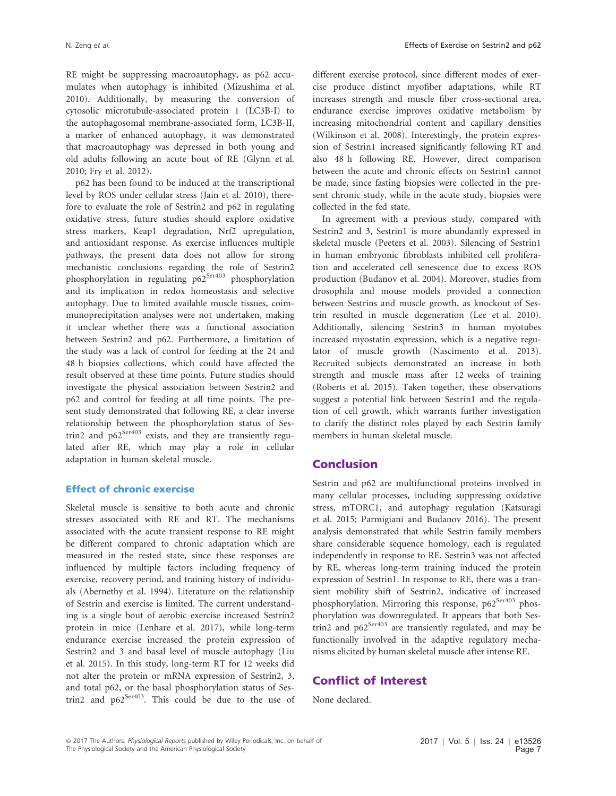RE might be suppressing macroautophagy, as p62 accumulates when autophagy is inhibited (Mizushima et al. 2010). Additionally, by measuring the conversion of cytosolic microtubule-associated protein 1 (LC3B-I) to the autophagosomal membrane-associated form, LC3B-II, a marker of enhanced autophagy, it was demonstrated that macroautophagy was depressed in both young and old adults following an acute bout of RE (Glynn et al. 2010; Fry et al. 2012).

p62 has been found to be induced at the transcriptional level by ROS under cellular stress (Jain et al. 2010), therefore to evaluate the role of Sestrin2 and p62 in regulating oxidative stress, future studies should explore oxidative stress markers, Keap1 degradation, Nrf2 upregulation, and antioxidant response. As exercise influences multiple pathways, the present data does not allow for strong mechanistic conclusions regarding the role of Sestrin2 phosphorylation in regulating p62<sup>Ser403</sup> phosphorylation and its implication in redox homeostasis and selective autophagy. Due to limited available muscle tissues, coimmunoprecipitation analyses were not undertaken, making it unclear whether there was a functional association between Sestrin2 and p62. Furthermore, a limitation of the study was a lack of control for feeding at the 24 and 48 h biopsies collections, which could have affected the result observed at these time points. Future studies should investigate the physical association between Sestrin2 and p62 and control for feeding at all time points. The present study demonstrated that following RE, a clear inverse relationship between the phosphorylation status of Sestrin2 and  $p62^{Ser403}$  exists, and they are transiently regulated after RE, which may play a role in cellular adaptation in human skeletal muscle.

#### Effect of chronic exercise

Skeletal muscle is sensitive to both acute and chronic stresses associated with RE and RT. The mechanisms associated with the acute transient response to RE might be different compared to chronic adaptation which are measured in the rested state, since these responses are influenced by multiple factors including frequency of exercise, recovery period, and training history of individuals (Abernethy et al. 1994). Literature on the relationship of Sestrin and exercise is limited. The current understanding is a single bout of aerobic exercise increased Sestrin2 protein in mice (Lenhare et al. 2017), while long-term endurance exercise increased the protein expression of Sestrin2 and 3 and basal level of muscle autophagy (Liu et al. 2015). In this study, long-term RT for 12 weeks did not alter the protein or mRNA expression of Sestrin2, 3, and total p62, or the basal phosphorylation status of Sestrin2 and  $p62^{Ser403}$ . This could be due to the use of different exercise protocol, since different modes of exercise produce distinct myofiber adaptations, while RT increases strength and muscle fiber cross-sectional area, endurance exercise improves oxidative metabolism by increasing mitochondrial content and capillary densities (Wilkinson et al. 2008). Interestingly, the protein expression of Sestrin1 increased significantly following RT and also 48 h following RE. However, direct comparison between the acute and chronic effects on Sestrin1 cannot be made, since fasting biopsies were collected in the present chronic study, while in the acute study, biopsies were collected in the fed state.

In agreement with a previous study, compared with Sestrin2 and 3, Sestrin1 is more abundantly expressed in skeletal muscle (Peeters et al. 2003). Silencing of Sestrin1 in human embryonic fibroblasts inhibited cell proliferation and accelerated cell senescence due to excess ROS production (Budanov et al. 2004). Moreover, studies from drosophila and mouse models provided a connection between Sestrins and muscle growth, as knockout of Sestrin resulted in muscle degeneration (Lee et al. 2010). Additionally, silencing Sestrin3 in human myotubes increased myostatin expression, which is a negative regulator of muscle growth (Nascimento et al. 2013). Recruited subjects demonstrated an increase in both strength and muscle mass after 12 weeks of training (Roberts et al. 2015). Taken together, these observations suggest a potential link between Sestrin1 and the regulation of cell growth, which warrants further investigation to clarify the distinct roles played by each Sestrin family members in human skeletal muscle.

#### Conclusion

Sestrin and p62 are multifunctional proteins involved in many cellular processes, including suppressing oxidative stress, mTORC1, and autophagy regulation (Katsuragi et al. 2015; Parmigiani and Budanov 2016). The present analysis demonstrated that while Sestrin family members share considerable sequence homology, each is regulated independently in response to RE. Sestrin3 was not affected by RE, whereas long-term training induced the protein expression of Sestrin1. In response to RE, there was a transient mobility shift of Sestrin2, indicative of increased phosphorylation. Mirroring this response, p62<sup>Ser403</sup> phosphorylation was downregulated. It appears that both Sestrin2 and  $p62^{Ser403}$  are transiently regulated, and may be functionally involved in the adaptive regulatory mechanisms elicited by human skeletal muscle after intense RE.

#### Conflict of Interest

None declared.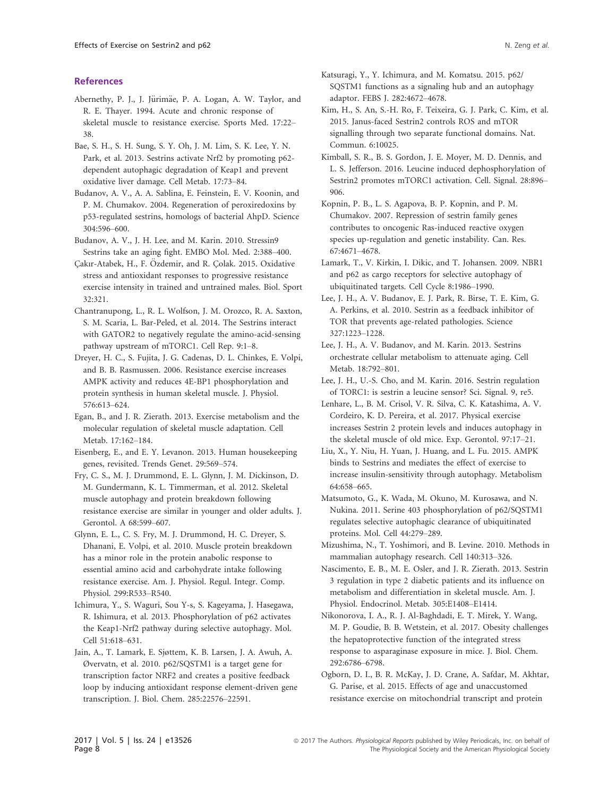#### **References**

- Abernethy, P. J., J. Jürimäe, P. A. Logan, A. W. Taylor, and R. E. Thayer. 1994. Acute and chronic response of skeletal muscle to resistance exercise. Sports Med. 17:22– 38.
- Bae, S. H., S. H. Sung, S. Y. Oh, J. M. Lim, S. K. Lee, Y. N. Park, et al. 2013. Sestrins activate Nrf2 by promoting p62 dependent autophagic degradation of Keap1 and prevent oxidative liver damage. Cell Metab. 17:73–84.
- Budanov, A. V., A. A. Sablina, E. Feinstein, E. V. Koonin, and P. M. Chumakov. 2004. Regeneration of peroxiredoxins by p53-regulated sestrins, homologs of bacterial AhpD. Science 304:596–600.
- Budanov, A. V., J. H. Lee, and M. Karin. 2010. Stressin9 Sestrins take an aging fight. EMBO Mol. Med. 2:388–400.
- Çakır-Atabek, H., F. Özdemir, and R. Çolak. 2015. Oxidative stress and antioxidant responses to progressive resistance exercise intensity in trained and untrained males. Biol. Sport 32:321.
- Chantranupong, L., R. L. Wolfson, J. M. Orozco, R. A. Saxton, S. M. Scaria, L. Bar-Peled, et al. 2014. The Sestrins interact with GATOR2 to negatively regulate the amino-acid-sensing pathway upstream of mTORC1. Cell Rep. 9:1–8.
- Dreyer, H. C., S. Fujita, J. G. Cadenas, D. L. Chinkes, E. Volpi, and B. B. Rasmussen. 2006. Resistance exercise increases AMPK activity and reduces 4E-BP1 phosphorylation and protein synthesis in human skeletal muscle. J. Physiol. 576:613–624.
- Egan, B., and J. R. Zierath. 2013. Exercise metabolism and the molecular regulation of skeletal muscle adaptation. Cell Metab. 17:162–184.
- Eisenberg, E., and E. Y. Levanon. 2013. Human housekeeping genes, revisited. Trends Genet. 29:569–574.
- Fry, C. S., M. J. Drummond, E. L. Glynn, J. M. Dickinson, D. M. Gundermann, K. L. Timmerman, et al. 2012. Skeletal muscle autophagy and protein breakdown following resistance exercise are similar in younger and older adults. J. Gerontol. A 68:599–607.
- Glynn, E. L., C. S. Fry, M. J. Drummond, H. C. Dreyer, S. Dhanani, E. Volpi, et al. 2010. Muscle protein breakdown has a minor role in the protein anabolic response to essential amino acid and carbohydrate intake following resistance exercise. Am. J. Physiol. Regul. Integr. Comp. Physiol. 299:R533–R540.
- Ichimura, Y., S. Waguri, Sou Y-s, S. Kageyama, J. Hasegawa, R. Ishimura, et al. 2013. Phosphorylation of p62 activates the Keap1-Nrf2 pathway during selective autophagy. Mol. Cell 51:618–631.
- Jain, A., T. Lamark, E. Sjøttem, K. B. Larsen, J. A. Awuh, A. Øvervatn, et al. 2010. p62/SQSTM1 is a target gene for transcription factor NRF2 and creates a positive feedback loop by inducing antioxidant response element-driven gene transcription. J. Biol. Chem. 285:22576–22591.
- Katsuragi, Y., Y. Ichimura, and M. Komatsu. 2015. p62/ SQSTM1 functions as a signaling hub and an autophagy adaptor. FEBS J. 282:4672–4678.
- Kim, H., S. An, S.-H. Ro, F. Teixeira, G. J. Park, C. Kim, et al. 2015. Janus-faced Sestrin2 controls ROS and mTOR signalling through two separate functional domains. Nat. Commun. 6:10025.
- Kimball, S. R., B. S. Gordon, J. E. Moyer, M. D. Dennis, and L. S. Jefferson. 2016. Leucine induced dephosphorylation of Sestrin2 promotes mTORC1 activation. Cell. Signal. 28:896– 906.
- Kopnin, P. B., L. S. Agapova, B. P. Kopnin, and P. M. Chumakov. 2007. Repression of sestrin family genes contributes to oncogenic Ras-induced reactive oxygen species up-regulation and genetic instability. Can. Res. 67:4671–4678.
- Lamark, T., V. Kirkin, I. Dikic, and T. Johansen. 2009. NBR1 and p62 as cargo receptors for selective autophagy of ubiquitinated targets. Cell Cycle 8:1986–1990.
- Lee, J. H., A. V. Budanov, E. J. Park, R. Birse, T. E. Kim, G. A. Perkins, et al. 2010. Sestrin as a feedback inhibitor of TOR that prevents age-related pathologies. Science 327:1223–1228.
- Lee, J. H., A. V. Budanov, and M. Karin. 2013. Sestrins orchestrate cellular metabolism to attenuate aging. Cell Metab. 18:792–801.
- Lee, J. H., U.-S. Cho, and M. Karin. 2016. Sestrin regulation of TORC1: is sestrin a leucine sensor? Sci. Signal. 9, re5.
- Lenhare, L., B. M. Crisol, V. R. Silva, C. K. Katashima, A. V. Cordeiro, K. D. Pereira, et al. 2017. Physical exercise increases Sestrin 2 protein levels and induces autophagy in the skeletal muscle of old mice. Exp. Gerontol. 97:17–21.
- Liu, X., Y. Niu, H. Yuan, J. Huang, and L. Fu. 2015. AMPK binds to Sestrins and mediates the effect of exercise to increase insulin-sensitivity through autophagy. Metabolism 64:658–665.
- Matsumoto, G., K. Wada, M. Okuno, M. Kurosawa, and N. Nukina. 2011. Serine 403 phosphorylation of p62/SQSTM1 regulates selective autophagic clearance of ubiquitinated proteins. Mol. Cell 44:279–289.
- Mizushima, N., T. Yoshimori, and B. Levine. 2010. Methods in mammalian autophagy research. Cell 140:313–326.
- Nascimento, E. B., M. E. Osler, and J. R. Zierath. 2013. Sestrin 3 regulation in type 2 diabetic patients and its influence on metabolism and differentiation in skeletal muscle. Am. J. Physiol. Endocrinol. Metab. 305:E1408–E1414.
- Nikonorova, I. A., R. J. Al-Baghdadi, E. T. Mirek, Y. Wang, M. P. Goudie, B. B. Wetstein, et al. 2017. Obesity challenges the hepatoprotective function of the integrated stress response to asparaginase exposure in mice. J. Biol. Chem. 292:6786–6798.
- Ogborn, D. I., B. R. McKay, J. D. Crane, A. Safdar, M. Akhtar, G. Parise, et al. 2015. Effects of age and unaccustomed resistance exercise on mitochondrial transcript and protein